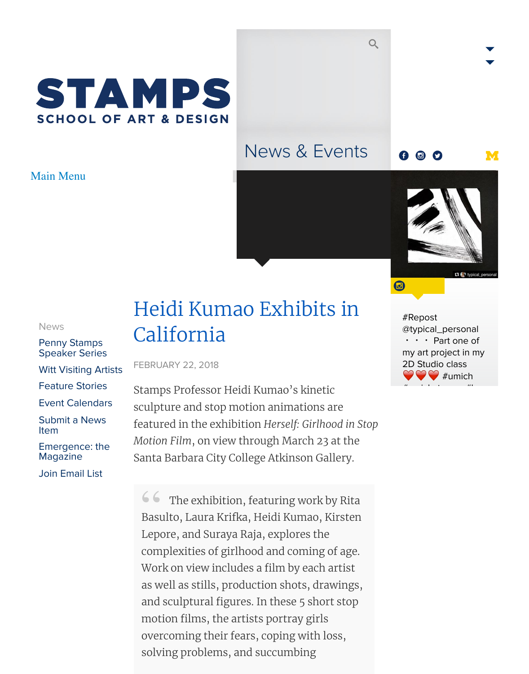# **SCHOOL OF ART & DESIGN**

### News & Events

#### 00





#Repost  $@$ typical\_personal  $\cdot$   $\cdot$  Part my art proje 2D Studio c  $\rightarrow$  #  $\frac{1}{2}$  units  $\frac{1}{2}$  in the set of  $\frac{1}{2}$ 

#### News

- Penny Stamps Speaker Series
- Witt Visiting Artists
- Feature Stories
- Event Calendars
- [Subm](https://stamps.umich.edu/news)it a News Item
- [Emergence: the](https://stamps.umich.edu/stamps) [Magazine](https://stamps.umich.edu/witt)
- [Join Email List](https://stamps.umich.edu/stories)

## Heidi Kumao Exhibits in California

FEBRUARY 22, 2018

Stamps Professor Heidi Kumao's kinetic [sculpture and stop motion animations are](https://stamps.umich.edu/news/heidi_kumao_exhibits_in_california1) featured in the exhibition *Herself: Girlhood in Stop Motion Film*, on view through March 23 at the Santa Barbara City College Atkinson Gallery.

**66** The exhibition, featuring work by Rita<br>Basulto, Laura Krifka, Heidi Kumao, Kirsten Basulto, Laura Krifka, Heidi Kumao, Kirsten Lepore, and Suraya Raja, explores the complexities of girlhood and coming of age. Work on view includes a film by each artist as well as stills, production shots, drawings, and sculptural figures. In these 5 short stop motion films, the artists portray girls overcoming their fears, coping with loss, solving problems, and succumbing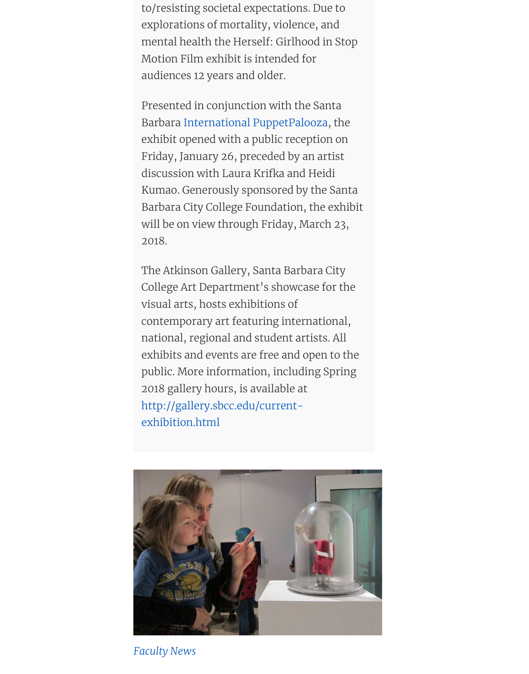Presented in conjunction with the Santa Barbara International PuppetPalooza, the exhibit opened with a public reception on Friday, January 26, preceded by an artist discussion with Laura Krifka and Heidi Kumao. Generously sponsored by the Santa Barbara [City College Foundation, the](http://puppetpaloozasb.com/) exhibit will be on view through Friday, March 23, 2018.

The Atkinson Gallery, Santa Barbara City College Art Department's showcase for the visual arts, hosts exhibitions of contemporary art featuring international, national, regional and student artists. All exhibits and events are free and open to the public. More information, including Spring 2018 gallery hours, is available at http://gallery.sbcc.edu/currentexhibition.html



*Faculty News*